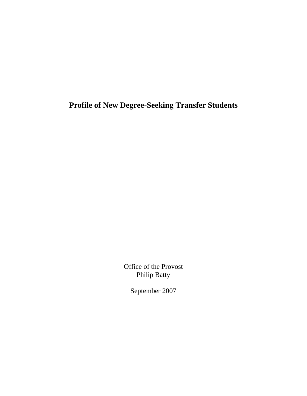**Profile of New Degree-Seeking Transfer Students** 

Office of the Provost Philip Batty

September 2007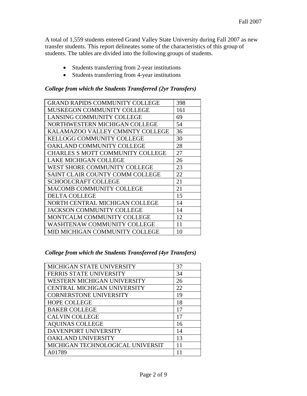A total of 1,559 students entered Grand Valley State University during Fall 2007 as new transfer students. This report delineates some of the characteristics of this group of students. The tables are divided into the following groups of students.

- Students transferring from 2-year institutions
- Students transferring from 4-year institutions

### *College from which the Students Transferred (2yr Transfers)*

| <b>GRAND RAPIDS COMMUNITY COLLEGE</b>   | 398 |
|-----------------------------------------|-----|
| MUSKEGON COMMUNITY COLLEGE              | 161 |
| <b>LANSING COMMUNITY COLLEGE</b>        | 69  |
| NORTHWESTERN MICHIGAN COLLEGE           | 54  |
| KALAMAZOO VALLEY CMMNTY COLLEGE         | 36  |
| <b>KELLOGG COMMUNITY COLLEGE</b>        | 30  |
| OAKLAND COMMUNITY COLLEGE               | 28  |
| <b>CHARLES S MOTT COMMUNITY COLLEGE</b> | 27  |
| <b>LAKE MICHIGAN COLLEGE</b>            | 26  |
| WEST SHORE COMMUNITY COLLEGE            | 23  |
| SAINT CLAIR COUNTY COMM COLLEGE         | 22  |
| <b>SCHOOLCRAFT COLLEGE</b>              | 21  |
| MACOMB COMMUNITY COLLEGE                | 21  |
| <b>DELTA COLLEGE</b>                    | 15  |
| NORTH CENTRAL MICHIGAN COLLEGE          | 14  |
| <b>JACKSON COMMUNITY COLLEGE</b>        | 14  |
| MONTCALM COMMUNITY COLLEGE              | 12  |
| WASHTENAW COMMUNITY COLLEGE             | 11  |
| MID MICHIGAN COMMUNITY COLLEGE          | 10  |

#### *College from which the Students Transferred (4yr Transfers)*

| MICHIGAN STATE UNIVERSITY        | 37 |
|----------------------------------|----|
| FERRIS STATE UNIVERSITY          | 34 |
| WESTERN MICHIGAN UNIVERSITY      | 26 |
| CENTRAL MICHIGAN UNIVERSITY      | 22 |
| <b>CORNERSTONE UNIVERSITY</b>    | 19 |
| <b>HOPE COLLEGE</b>              | 18 |
| <b>BAKER COLLEGE</b>             | 17 |
| <b>CALVIN COLLEGE</b>            | 17 |
| <b>AQUINAS COLLEGE</b>           | 16 |
| DAVENPORT UNIVERSITY             | 14 |
| OAKLAND UNIVERSITY               | 13 |
| MICHIGAN TECHNOLOGICAL UNIVERSIT | 11 |
| A01789                           |    |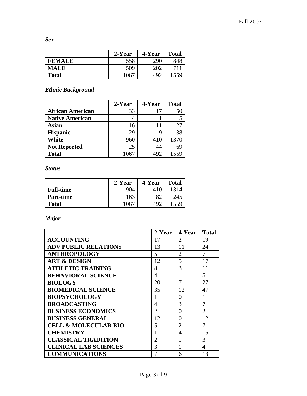*Sex* 

|               | 2-Year | 4-Year | <b>Total</b> |
|---------------|--------|--------|--------------|
| <b>FEMALE</b> | 558    | 290    | 848          |
| <b>MALE</b>   | 509    | 202    |              |
| <b>Total</b>  | 1067   | 492    | 1559         |

### *Ethnic Background*

|                         | 2-Year | 4-Year | <b>Total</b> |
|-------------------------|--------|--------|--------------|
| <b>African American</b> | 33     | 17     |              |
| <b>Native American</b>  |        |        |              |
| Asian                   | 16     |        | 27           |
| <b>Hispanic</b>         | 29     |        | 38           |
| White                   | 960    | 410    | 1370         |
| <b>Not Reported</b>     | 25     | 44     |              |
| <b>Total</b>            | 1067   | 492    | 1559         |

*Status* 

|                  | 2-Year | 4-Year | <b>Total</b> |
|------------------|--------|--------|--------------|
| <b>Full-time</b> | 904    | 410    | 1314         |
| <b>Part-time</b> | 163    | 82     | 245          |
| <b>Total</b>     | 1067   | 492    |              |

*Major* 

|                                 | 2-Year         | 4-Year         | <b>Total</b>   |
|---------------------------------|----------------|----------------|----------------|
| <b>ACCOUNTING</b>               | 17             | $\overline{2}$ | 19             |
| <b>ADV PUBLIC RELATIONS</b>     | 13             | 11             | 24             |
| <b>ANTHROPOLOGY</b>             | 5              | $\overline{2}$ | 7              |
| <b>ART &amp; DESIGN</b>         | 12             | 5              | 17             |
| <b>ATHLETIC TRAINING</b>        | 8              | 3              | 11             |
| <b>BEHAVIORAL SCIENCE</b>       | 4              | 1              | 5              |
| <b>BIOLOGY</b>                  | 20             | 7              | 27             |
| <b>BIOMEDICAL SCIENCE</b>       | 35             | 12             | 47             |
| <b>BIOPSYCHOLOGY</b>            | 1              | 0              | 1              |
| <b>BROADCASTING</b>             | 4              | 3              | 7              |
| <b>BUSINESS ECONOMICS</b>       | $\overline{2}$ | 0              | $\overline{2}$ |
| <b>BUSINESS GENERAL</b>         | 12             | 0              | 12             |
| <b>CELL &amp; MOLECULAR BIO</b> | 5              | $\overline{2}$ | 7              |
| <b>CHEMISTRY</b>                | 11             | $\overline{4}$ | 15             |
| <b>CLASSICAL TRADITION</b>      | $\overline{2}$ | 1              | 3              |
| <b>CLINICAL LAB SCIENCES</b>    | 3              | 1              | 4              |
| <b>COMMUNICATIONS</b>           | 7              | 6              | 13             |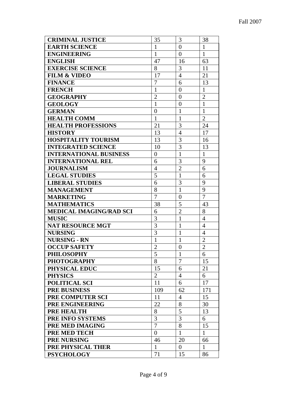| <b>CRIMINAL JUSTICE</b>        | 35               | 3                | 38             |
|--------------------------------|------------------|------------------|----------------|
| <b>EARTH SCIENCE</b>           | 1                | $\overline{0}$   | $\mathbf{1}$   |
| <b>ENGINEERING</b>             | 1                | $\overline{0}$   | $\mathbf{1}$   |
| <b>ENGLISH</b>                 | 47               | 16               | 63             |
| <b>EXERCISE SCIENCE</b>        | 8                | 3                | 11             |
| <b>FILM &amp; VIDEO</b>        | 17               | $\overline{4}$   | 21             |
| <b>FINANCE</b>                 | $\overline{7}$   | 6                | 13             |
| <b>FRENCH</b>                  | $\mathbf{1}$     | $\boldsymbol{0}$ | $\mathbf{1}$   |
| <b>GEOGRAPHY</b>               | $\overline{2}$   | $\overline{0}$   | $\overline{c}$ |
| <b>GEOLOGY</b>                 | $\mathbf{1}$     | $\boldsymbol{0}$ | $\mathbf{1}$   |
| <b>GERMAN</b>                  | $\boldsymbol{0}$ | $\mathbf{1}$     | $\mathbf{1}$   |
| <b>HEALTH COMM</b>             | 1                | $\mathbf{1}$     | $\overline{2}$ |
| <b>HEALTH PROFESSIONS</b>      | 21               | 3                | 24             |
| <b>HISTORY</b>                 | 13               | $\overline{4}$   | 17             |
| <b>HOSPITALITY TOURISM</b>     | 13               | 3                | 16             |
| <b>INTEGRATED SCIENCE</b>      | 10               | $\overline{3}$   | 13             |
| <b>INTERNATIONAL BUSINESS</b>  | $\boldsymbol{0}$ | $\mathbf{1}$     | $\mathbf{1}$   |
| <b>INTERNATIONAL REL</b>       | 6                | $\overline{3}$   | 9              |
| <b>JOURNALISM</b>              | 4                | $\overline{2}$   | 6              |
| <b>LEGAL STUDIES</b>           | 5                | $\overline{1}$   | 6              |
| <b>LIBERAL STUDIES</b>         | 6                | 3                | 9              |
| <b>MANAGEMENT</b>              | 8                | $\mathbf{1}$     | 9              |
| <b>MARKETING</b>               | 7                | $\boldsymbol{0}$ | $\overline{7}$ |
| <b>MATHEMATICS</b>             | 38               | 5                | 43             |
| <b>MEDICAL IMAGING/RAD SCI</b> | 6                | $\overline{2}$   | 8              |
| <b>MUSIC</b>                   | 3                | $\mathbf{1}$     | $\overline{4}$ |
| <b>NAT RESOURCE MGT</b>        | 3                | $\mathbf{1}$     | $\overline{4}$ |
| <b>NURSING</b>                 | 3                | $\mathbf{1}$     | $\overline{4}$ |
| <b>NURSING - RN</b>            | $\mathbf{1}$     | $\mathbf{1}$     | $\overline{2}$ |
| <b>OCCUP SAFETY</b>            | $\overline{2}$   | $\overline{0}$   | $\overline{2}$ |
| <b>PHILOSOPHY</b>              | 5                | $\mathbf{1}$     | 6              |
| <b>PHOTOGRAPHY</b>             | 8                | 7                | 15             |
| PHYSICAL EDUC                  | 15               | 6                | 21             |
| <b>PHYSICS</b>                 | $\overline{2}$   | $\overline{4}$   | 6              |
| POLITICAL SCI                  | 11               | 6                | 17             |
| <b>PRE BUSINESS</b>            | 109              | 62               | 171            |
| PRE COMPUTER SCI               | 11               | 4                | 15             |
| PRE ENGINEERING                | 22               | 8                | 30             |
| <b>PRE HEALTH</b>              | 8                | 5                | 13             |
| PRE INFO SYSTEMS               | 3                | 3                | 6              |
| PRE MED IMAGING                | $\overline{7}$   | 8                | 15             |
| <b>PRE MED TECH</b>            | $\boldsymbol{0}$ | $\mathbf{1}$     | $\mathbf{1}$   |
| <b>PRE NURSING</b>             | 46               | 20               | 66             |
| PRE PHYSICAL THER              | $\mathbf{1}$     | $\overline{0}$   | $\mathbf{1}$   |
| <b>PSYCHOLOGY</b>              | 71               | 15               | 86             |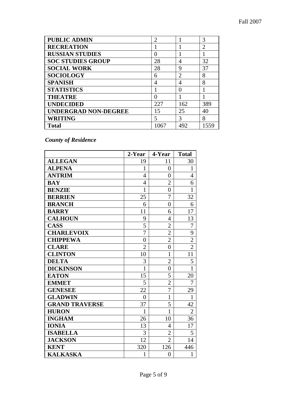| <b>PUBLIC ADMIN</b>         | $\overline{2}$ |                | 3              |
|-----------------------------|----------------|----------------|----------------|
| <b>RECREATION</b>           |                |                | $\overline{2}$ |
| <b>RUSSIAN STUDIES</b>      |                |                |                |
| <b>SOC STUDIES GROUP</b>    | 28             | 4              | 32             |
| <b>SOCIAL WORK</b>          | 28             | 9              | 37             |
| <b>SOCIOLOGY</b>            | 6              | $\overline{2}$ | 8              |
| <b>SPANISH</b>              | 4              | 4              | 8              |
| <b>STATISTICS</b>           |                | $\mathcal{O}$  |                |
| <b>THEATRE</b>              |                |                |                |
| <b>UNDECIDED</b>            | 227            | 162            | 389            |
| <b>UNDERGRAD NON-DEGREE</b> | 15             | 25             | 40             |
| <b>WRITING</b>              | 5              | 3              | 8              |
| Total                       | .067           | 492            | 1559           |

*County of Residence* 

|                       | 2-Year         | 4-Year           | <b>Total</b>   |
|-----------------------|----------------|------------------|----------------|
| <b>ALLEGAN</b>        | 19             | 11               | 30             |
| <b>ALPENA</b>         | $\mathbf{1}$   | $\overline{0}$   | $\mathbf{1}$   |
| <b>ANTRIM</b>         | $\overline{4}$ | 0                | 4              |
| <b>BAY</b>            | $\overline{4}$ | $\overline{2}$   | 6              |
| <b>BENZIE</b>         | $\mathbf{1}$   | $\overline{0}$   | $\mathbf{1}$   |
| <b>BERRIEN</b>        | 25             | 7                | 32             |
| <b>BRANCH</b>         | 6              | $\overline{0}$   | 6              |
| <b>BARRY</b>          | 11             | 6                | 17             |
| <b>CALHOUN</b>        | 9              | $\overline{4}$   | 13             |
| <b>CASS</b>           | 5              | $\overline{2}$   | 7              |
| <b>CHARLEVOIX</b>     | $\overline{7}$ | $\overline{2}$   | 9              |
| <b>CHIPPEWA</b>       | $\overline{0}$ | $\overline{2}$   | $\overline{c}$ |
| <b>CLARE</b>          | $\overline{2}$ | $\overline{0}$   | $\overline{2}$ |
| <b>CLINTON</b>        | 10             | $\mathbf{1}$     | 11             |
| <b>DELTA</b>          | 3              | $\overline{2}$   | 5              |
| <b>DICKINSON</b>      | $\mathbf{1}$   | $\boldsymbol{0}$ | $\mathbf{1}$   |
| <b>EATON</b>          | 15             | 5                | 20             |
| <b>EMMET</b>          | 5              | $\overline{2}$   | $\overline{7}$ |
| <b>GENESEE</b>        | 22             | $\overline{7}$   | 29             |
| <b>GLADWIN</b>        | $\overline{0}$ | $\mathbf{1}$     | 1              |
| <b>GRAND TRAVERSE</b> | 37             | 5                | 42             |
| <b>HURON</b>          | 1              | 1                | $\overline{2}$ |
| <b>INGHAM</b>         | 26             | 10               | 36             |
| <b>IONIA</b>          | 13             | 4                | 17             |
| <b>ISABELLA</b>       | 3              | $\overline{2}$   | 5              |
| <b>JACKSON</b>        | 12             | $\overline{2}$   | 14             |
| <b>KENT</b>           | 320            | 126              | 446            |
| <b>KALKASKA</b>       | $\mathbf{1}$   | $\boldsymbol{0}$ | $\mathbf{1}$   |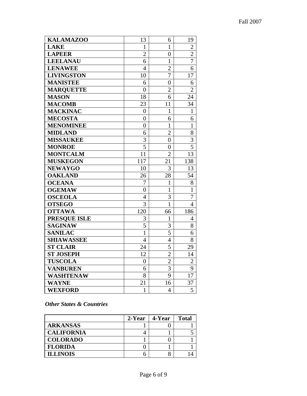| <b>KALAMAZOO</b>    | 13               | 6                | 19             |
|---------------------|------------------|------------------|----------------|
| <b>LAKE</b>         | $\mathbf{1}$     | $\mathbf{1}$     | $\overline{2}$ |
| <b>LAPEER</b>       | $\overline{c}$   | $\overline{0}$   | $\overline{c}$ |
| <b>LEELANAU</b>     | 6                | $\mathbf 1$      | 7              |
| <b>LENAWEE</b>      | $\overline{4}$   | $\overline{2}$   | 6              |
| <b>LIVINGSTON</b>   | 10               | 7                | 17             |
| <b>MANISTEE</b>     | 6                | $\overline{0}$   | 6              |
| <b>MARQUETTE</b>    | $\overline{0}$   | $\overline{2}$   | $\overline{2}$ |
| <b>MASON</b>        | 18               | 6                | 24             |
| <b>MACOMB</b>       | 23               | 11               | 34             |
| <b>MACKINAC</b>     | $\boldsymbol{0}$ | $\mathbf{1}$     | 1              |
| <b>MECOSTA</b>      | $\boldsymbol{0}$ | 6                | 6              |
| <b>MENOMINEE</b>    | $\overline{0}$   | $\mathbf{1}$     | $\mathbf{1}$   |
| <b>MIDLAND</b>      | 6                | $\overline{2}$   | 8              |
| <b>MISSAUKEE</b>    | $\overline{3}$   | $\overline{0}$   | $\overline{3}$ |
| <b>MONROE</b>       | $\overline{5}$   | $\boldsymbol{0}$ | $\overline{5}$ |
| <b>MONTCALM</b>     | 11               | $\overline{2}$   | 13             |
| <b>MUSKEGON</b>     | 117              | 21               | 138            |
| <b>NEWAYGO</b>      | 10               | 3                | 13             |
| <b>OAKLAND</b>      | 26               | 28               | 54             |
| <b>OCEANA</b>       | $\overline{7}$   | $\mathbf{1}$     | 8              |
| <b>OGEMAW</b>       | $\overline{0}$   | $\mathbf{1}$     | 1              |
| <b>OSCEOLA</b>      | $\overline{4}$   | 3                | 7              |
| <b>OTSEGO</b>       | $\overline{3}$   | $\mathbf{1}$     | $\overline{4}$ |
| <b>OTTAWA</b>       | 120              | 66               | 186            |
| <b>PRESQUE ISLE</b> | 3                | $\mathbf{1}$     | $\overline{4}$ |
| <b>SAGINAW</b>      | 5                | 3                | 8              |
| <b>SANILAC</b>      | $\mathbf{1}$     | 5                | 6              |
| <b>SHIAWASSEE</b>   | $\overline{4}$   | $\overline{4}$   | 8              |
| <b>ST CLAIR</b>     | 24               | 5                | 29             |
| <b>ST JOSEPH</b>    | 12               | $\overline{2}$   | 14             |
| <b>TUSCOLA</b>      | $\boldsymbol{0}$ | $\overline{2}$   | $\overline{2}$ |
| <b>VANBUREN</b>     | 6                | 3                | 9              |
| <b>WASHTENAW</b>    | 8                | 9                | 17             |
| <b>WAYNE</b>        | 21               | 16               | 37             |
| <b>WEXFORD</b>      | $\mathbf{1}$     | $\overline{4}$   | 5              |

## *Other States & Countries*

|                   | 2-Year | 4-Year | <b>Total</b> |
|-------------------|--------|--------|--------------|
| <b>ARKANSAS</b>   |        |        |              |
| <b>CALIFORNIA</b> |        |        |              |
| <b>COLORADO</b>   |        |        |              |
| <b>FLORIDA</b>    |        |        |              |
| <b>ILLINOIS</b>   |        |        |              |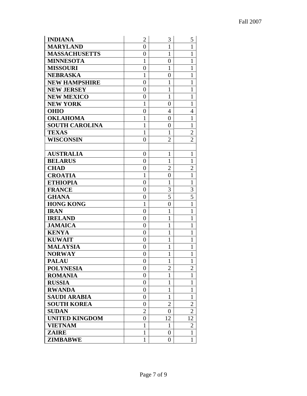| <b>INDIANA</b>        | $\overline{2}$   | 3                | 5              |
|-----------------------|------------------|------------------|----------------|
| <b>MARYLAND</b>       | $\boldsymbol{0}$ | $\mathbf{1}$     | $\mathbf{1}$   |
| <b>MASSACHUSETTS</b>  | $\boldsymbol{0}$ | $\mathbf{1}$     | $\mathbf{1}$   |
| <b>MINNESOTA</b>      | $\mathbf{1}$     | $\overline{0}$   | $\mathbf{1}$   |
| <b>MISSOURI</b>       | $\overline{0}$   | $\mathbf{1}$     | $\mathbf{1}$   |
| <b>NEBRASKA</b>       | $\mathbf{1}$     | $\overline{0}$   | $\mathbf{1}$   |
| <b>NEW HAMPSHIRE</b>  | $\boldsymbol{0}$ | $\mathbf{1}$     | $\mathbf{1}$   |
| <b>NEW JERSEY</b>     | $\boldsymbol{0}$ | $\mathbf{1}$     | $\mathbf{1}$   |
| <b>NEW MEXICO</b>     | $\overline{0}$   | $\mathbf{1}$     | $\mathbf{1}$   |
| <b>NEW YORK</b>       | $\mathbf{1}$     | $\overline{0}$   | $\mathbf{1}$   |
| <b>OHIO</b>           | $\overline{0}$   | $\overline{4}$   | $\overline{4}$ |
| <b>OKLAHOMA</b>       | $\mathbf{1}$     | $\overline{0}$   | $\mathbf{1}$   |
| <b>SOUTH CAROLINA</b> | $\mathbf{1}$     | $\overline{0}$   | $\mathbf{1}$   |
| <b>TEXAS</b>          | $\mathbf{1}$     | $\mathbf{1}$     | $\overline{2}$ |
| <b>WISCONSIN</b>      | $\overline{0}$   | $\overline{2}$   | $\overline{2}$ |
|                       |                  |                  |                |
| <b>AUSTRALIA</b>      | $\boldsymbol{0}$ | $\mathbf{1}$     | $\mathbf{1}$   |
| <b>BELARUS</b>        | $\overline{0}$   | $\mathbf{1}$     | $\mathbf{1}$   |
| <b>CHAD</b>           | $\overline{0}$   | $\overline{2}$   | $\overline{2}$ |
| <b>CROATIA</b>        | $\mathbf{1}$     | $\boldsymbol{0}$ | $\mathbf{1}$   |
| <b>ETHIOPIA</b>       | $\boldsymbol{0}$ | $\mathbf{1}$     | $\mathbf{1}$   |
| <b>FRANCE</b>         | $\overline{0}$   | 3                | 3              |
| <b>GHANA</b>          | $\boldsymbol{0}$ | $\overline{5}$   | 5              |
| <b>HONG KONG</b>      | $\mathbf{1}$     | 0                | $\mathbf{1}$   |
| <b>IRAN</b>           | $\overline{0}$   | $\mathbf{1}$     | $\mathbf{1}$   |
| <b>IRELAND</b>        | $\overline{0}$   | $\mathbf{1}$     | $\mathbf{1}$   |
| <b>JAMAICA</b>        | $\overline{0}$   | $\mathbf{1}$     | $\mathbf{1}$   |
| <b>KENYA</b>          | $\boldsymbol{0}$ | $\mathbf{1}$     | $\mathbf{1}$   |
| <b>KUWAIT</b>         | $\overline{0}$   | $\mathbf{1}$     | $\mathbf{1}$   |
| <b>MALAYSIA</b>       | $\overline{0}$   | $\mathbf{1}$     | $\mathbf{1}$   |
| <b>NORWAY</b>         | $\overline{0}$   | $\mathbf{1}$     | $\mathbf{1}$   |
| <b>PALAU</b>          | $\boldsymbol{0}$ | 1                | 1              |
| <b>POLYNESIA</b>      | $\boldsymbol{0}$ | $\overline{2}$   | $\overline{2}$ |
| <b>ROMANIA</b>        | $\boldsymbol{0}$ | $\mathbf{1}$     | 1              |
| <b>RUSSIA</b>         | $\boldsymbol{0}$ | $\mathbf{1}$     | 1              |
| <b>RWANDA</b>         | $\boldsymbol{0}$ | $\mathbf{1}$     | $\mathbf{1}$   |
| <b>SAUDI ARABIA</b>   | $\boldsymbol{0}$ | $\mathbf{1}$     | $\mathbf{1}$   |
| <b>SOUTH KOREA</b>    | $\boldsymbol{0}$ | $\overline{2}$   | $\overline{2}$ |
| <b>SUDAN</b>          | 2                | 0                | 2              |
| <b>UNITED KINGDOM</b> | $\overline{0}$   | 12               | 12             |
| <b>VIETNAM</b>        | $\mathbf{1}$     | 1                | $\overline{2}$ |
| <b>ZAIRE</b>          | $\mathbf{1}$     | $\boldsymbol{0}$ | $\mathbf{1}$   |
| <b>ZIMBABWE</b>       | $\mathbf{1}$     | $\overline{0}$   | $\mathbf{1}$   |